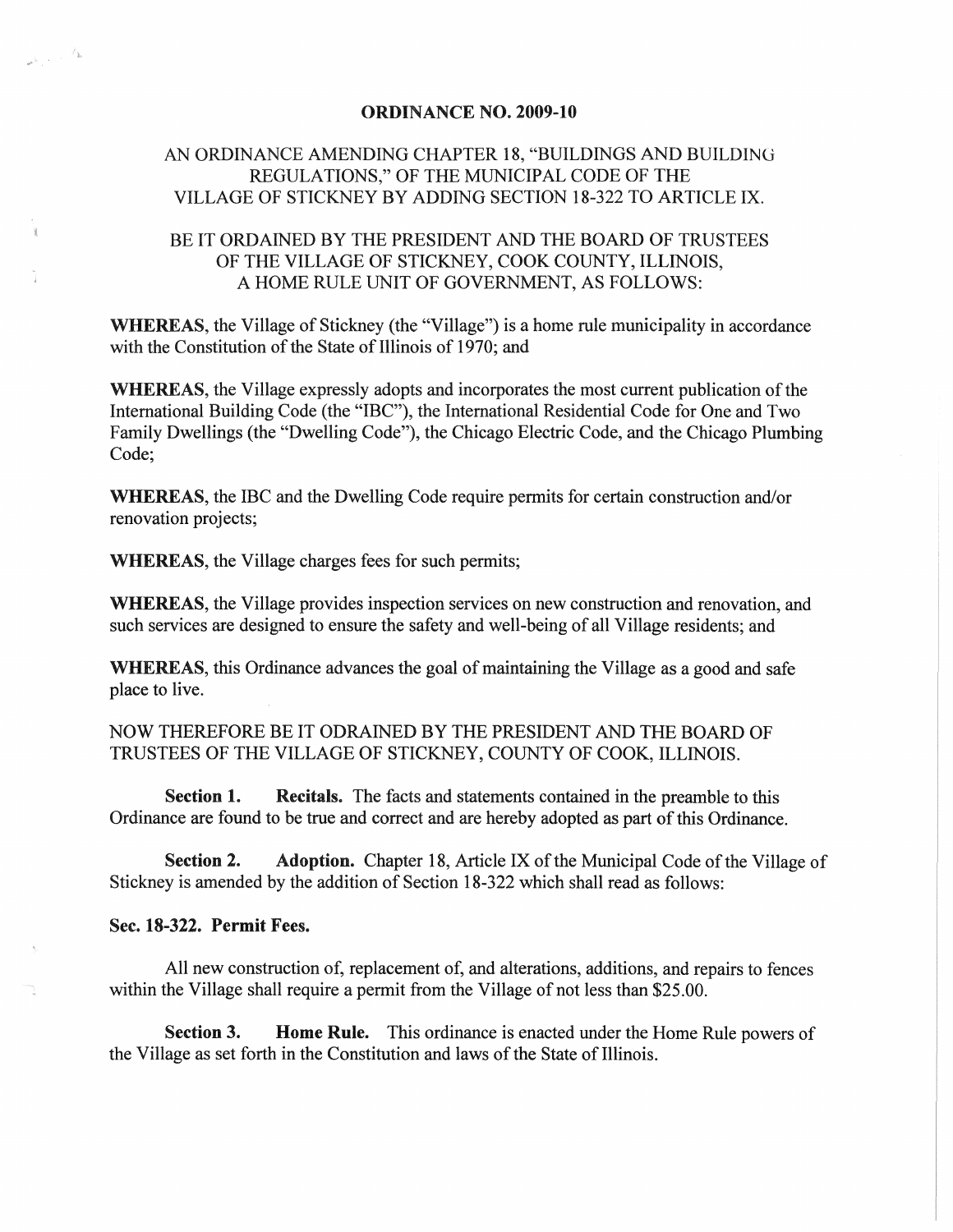## ORDINANCE NO. 2009-10

## AN ORDINANCE AMENDING CHAPTER 18, "BUILDINGS AND BUILDING REGULATIONS," OF THE MUNICIPAL CODE OF THE VILLAGE OF STICKNEY BY ADDING SECTION 18-322 TO ARTICLE IX.

## BE IT ORDAINED BY THE PRESIDENT AND THE BOARD OF TRUSTEES OF THE VILLAGE OF STICKNEY, COOK COUNTY, ILLINOIS, A HOME RULE UNIT OF GOVERNMENT, AS FOLLOWS:

WHEREAS, the Village of Stickney (the "Village") is a home rule municipality in accordance with the Constitution of the State of Illinois of 1970; and

WHEREAS, the Village expressly adopts and incorporates the most current publication of the International Building Code (the "IBC"), the International Residential Code for One and Two Family Dwellings (the "Dwelling Code"), the Chicago Electric Code, and the Chicago Plumbing Code;

WHEREAS, the IBC and the Dwelling Code require permits for certain construction and/or renovation projects;

WHEREAS, the Village charges fees for such permits;

WHEREAS, the Village provides inspection services on new construction and renovation, and such services are designed to ensure the safety and well-being of all Village residents; and

WHEREAS, this Ordinance advances the goal of maintaining the Village as a good and safe place to live.

NOW THEREFORE BE IT ODRAINED BY THE PRESIDENT AND THE BOARD OF TRUSTEES OF THE VILLAGE OF STICKNEY, COUNTY OF COOK, ILLINOIS.

Section 1. Recitals. The facts and statements contained in the preamble to this Ordinance are found to be true and correct and are hereby adopted as part of this Ordinance.

Section 2. Adoption. Chapter 18, Article IX of the Municipal Code of the Village of Stickney is amended by the addition of Section 18-322 which shall read as follows:

Sec. 18-322. Permit Fees.

 $\label{eq:1} \frac{1}{\sqrt{2\pi\sqrt{2}}}\int_{\mathbb{R}^2}\frac{d^2k}{k^2}$ 

All new construction of, replacement of, and alterations, additions, and repairs to fences within the Village shall require a permit from the Village of not less than \$25.00.

Section 3. Home Rule. This ordinance is enacted under the Home Rule powers of the Village as set forth in the Constitution and laws of the State of Illinois.